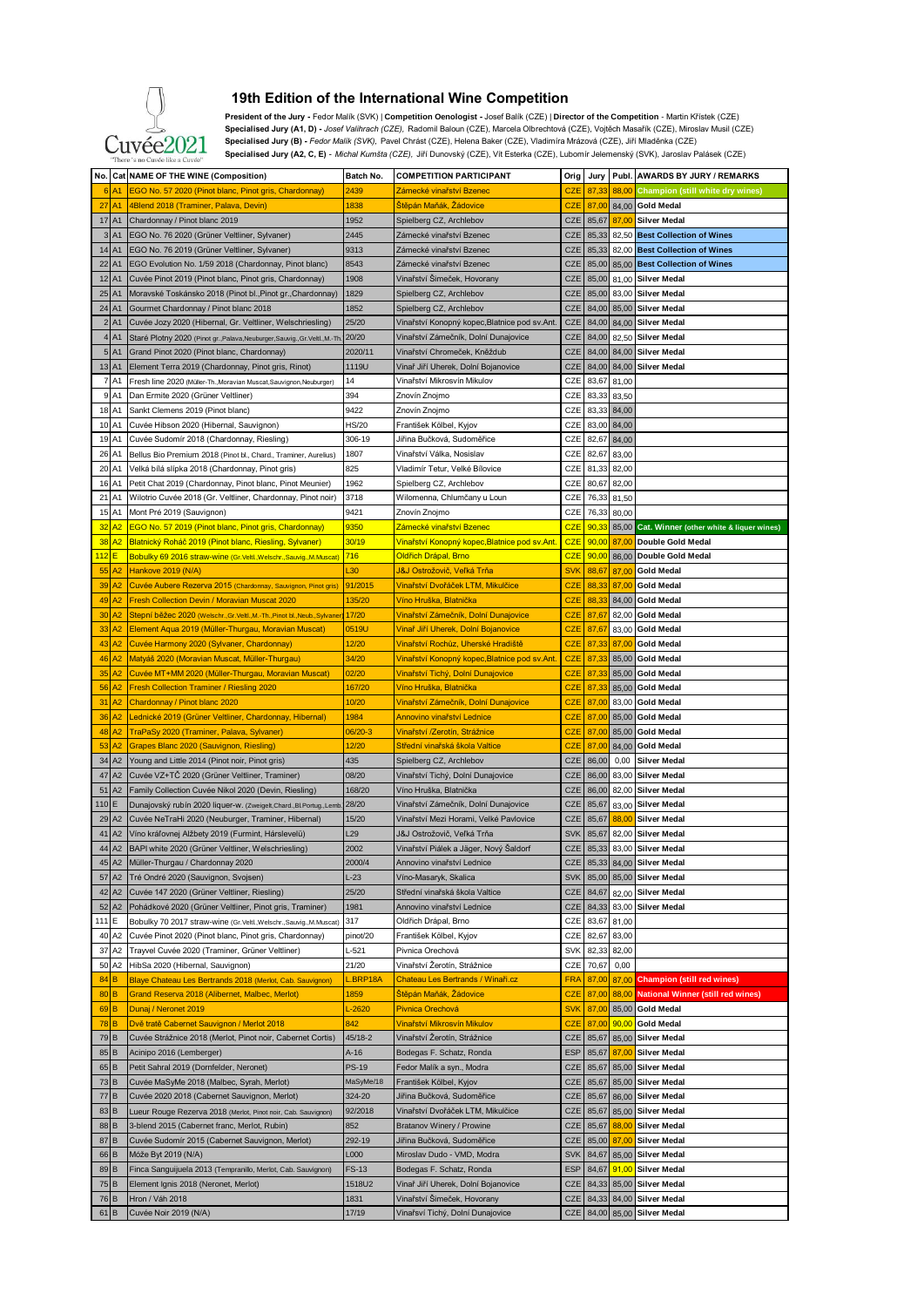

## **19th Edition of the International Wine Competition**

 **President of the Jury -** Fedor Malík (SVK) | **Competition Oenologist -** Josef Balík (CZE) | **Director of the Competition** - Martin Křístek (CZE) Specialised Jury (A1, D) - Josef Valihrach (CZE), Radomil Baloun (CZE), Marcela Olbrechtová (CZE), Vojtěch Masařík (CZE), Miroslav Musil (CZE)<br>TTÁA<sup>9</sup> Specialised Jury (B) - *Fedor Malík (SVK), P*avel Chrást (CZE), Helena  **Specialised Jury (A2, C, E)** *- Michal Kumšta (CZE),* Jiří Dunovský (CZE), Vít Esterka (CZE), Lubomír Jelemenský (SVK), Jaroslav Palásek (CZE)

|                      | No. Cat NAME OF THE WINE (Composition)                                      | Batch No.       | <b>COMPETITION PARTICIPANT</b>                                  | Orig       | Jury           |       | Publ. AWARDS BY JURY / REMARKS           |
|----------------------|-----------------------------------------------------------------------------|-----------------|-----------------------------------------------------------------|------------|----------------|-------|------------------------------------------|
| A <sub>1</sub><br>-6 | EGO No. 57 2020 (Pinot blanc, Pinot gris, Chardonnay)                       | 2439            | <u>Zámecké vinařství Bzenec</u>                                 | <b>CZE</b> | 87,33          | 88,00 | Champion (still white dry wines)         |
| 27<br><b>A1</b>      | 4Blend 2018 (Traminer, Palava, Devin)                                       | 1838            | Stěpán Maňák, Žádovice                                          | <b>CZE</b> | 87,00          |       | 84,00 Gold Medal                         |
| 17 A1                | Chardonnay / Pinot blanc 2019                                               | 1952            | Spielberg CZ, Archlebov                                         | <b>CZE</b> | 85,67          | 87,00 | <b>Silver Medal</b>                      |
|                      |                                                                             |                 |                                                                 |            |                |       |                                          |
| 3 A1                 | EGO No. 76 2020 (Grüner Veltliner, Sylvaner)                                | 2445            | Zámecké vinařství Bzenec                                        | CZE        | 85,33          | 82,50 | <b>Best Collection of Wines</b>          |
| 14 A1                | EGO No. 76 2019 (Grüner Veltliner, Sylvaner)                                | 9313            | Zámecké vinařství Bzenec                                        | CZE        | 85,33          |       | 82,00 Best Collection of Wines           |
| 22<br>A <sub>1</sub> | EGO Evolution No. 1/59 2018 (Chardonnay, Pinot blanc)                       | 8543            | Zámecké vinařství Bzenec                                        | <b>CZE</b> | 85,00          |       | 85,00 Best Collection of Wines           |
| 12 A1                | Cuvée Pinot 2019 (Pinot blanc, Pinot gris, Chardonnay)                      | 1908            | Vinařství Simeček, Hovorany                                     | <b>CZE</b> | 85,00          | 81,00 | <b>Silver Medal</b>                      |
| 25<br>A <sub>1</sub> | Moravské Toskánsko 2018 (Pinot bl., Pinot gr., Chardonnay)                  | 1829            | Spielberg CZ, Archlebov                                         | CZE        | 85,00          | 83,00 | <b>Silver Medal</b>                      |
| 24<br>A <sub>1</sub> | Gourmet Chardonnay / Pinot blanc 2018                                       | 1852            | Spielberg CZ, Archlebov                                         | <b>CZE</b> | 84,00          | 85,00 | <b>Silver Medal</b>                      |
| 2 A1                 | Cuvée Jozy 2020 (Hibernal, Gr. Veltliner, Welschriesling)                   | 25/20           | Vinařství Konopný kopec,Blatnice pod sv.Ant                     | <b>CZE</b> | 84,00          | 84,00 | <b>Silver Medal</b>                      |
|                      |                                                                             |                 |                                                                 |            |                |       |                                          |
| 4 A1                 | Staré Plotny 2020 (Pinot gr., Palava, Neuburger, Sauvig., Gr. Veltl., M.-Th | 20/20           | Vinařství Zámečník, Dolní Dunajovice                            | CZE        | 84,00          | 82,50 | <b>Silver Medal</b>                      |
| 5 A1                 | Grand Pinot 2020 (Pinot blanc, Chardonnay)                                  | 2020/11         | Vinařství Chromeček, Kněždub                                    | CZE        | 84,00          | 84,00 | <b>Silver Medal</b>                      |
| 13 A1                | Element Terra 2019 (Chardonnay, Pinot gris, Rinot)                          | 1119U           | Vinař Jiří Uherek, Dolní Bojanovice                             | CZE        | 84,00          |       | 84,00 Silver Medal                       |
| 7 A1                 | Fresh line 2020 (Müller-Th., Moravian Muscat, Sauvignon, Neuburger)         | 14              | Vinařství Mikrosvín Mikulov                                     | CZE        | 83,67          | 81,00 |                                          |
| 9 A1                 | Dan Ermite 2020 (Grüner Veltliner)                                          | 394             | Znovín Znojmo                                                   | CZE        | 83,33          | 83,50 |                                          |
| 18 A1                | Sankt Clemens 2019 (Pinot blanc)                                            | 9422            | Znovín Znojmo                                                   | CZE        | 83,33          | 84,00 |                                          |
| 10 A1                | Cuvée Hibson 2020 (Hibernal, Sauvignon)                                     | HS/20           | František Kölbel, Kyjov                                         | CZE        | 83,00          | 84,00 |                                          |
| 19 A1                | Cuvée Sudomír 2018 (Chardonnay, Riesling)                                   | 306-19          | Jiřina Bučková, Sudoměřice                                      | CZE        | 82,67          | 84,00 |                                          |
|                      |                                                                             |                 |                                                                 |            |                |       |                                          |
| 26 A1                | Bellus Bio Premium 2018 (Pinot bl., Chard., Traminer, Aurelius)             | 1807            | Vinařství Válka, Nosislav                                       | CZE        | 82,67          | 83,00 |                                          |
| 20 A1                | Velká bílá slípka 2018 (Chardonnay, Pinot gris)                             | 825             | Vladimír Tetur, Velké Bílovice                                  | CZE        | 81,33          | 82,00 |                                          |
| 16 A1                | Petit Chat 2019 (Chardonnay, Pinot blanc, Pinot Meunier)                    | 1962            | Spielberg CZ, Archlebov                                         | CZE        | 80,67          | 82,00 |                                          |
| 21<br>A1             | Wilotrio Cuvée 2018 (Gr. Veltliner, Chardonnay, Pinot noir)                 | 3718            | Wilomenna, Chlumčany u Loun                                     | CZE        | 76,33          | 81,50 |                                          |
| 15 A1                | Mont Pré 2019 (Sauvignon)                                                   | 9421            | Znovín Znojmo                                                   | CZE        | 76,33          | 80,00 |                                          |
| 32<br><b>A2</b>      | EGO No. 57 2019 (Pinot blanc, Pinot gris, Chardonnay)                       | 9350            | Zámecké vinařství Bzenec                                        | <b>CZE</b> | 90,33          | 85,00 | Cat. Winner (other white & liquer wines) |
| 38<br>A2             | Blatnický Roháč 2019 (Pinot blanc, Riesling, Sylvaner)                      | 30/19           | Vinařství Konopný kopec,Blatnice pod sv.Ant.                    | <b>CZE</b> | 90,00          | 87,00 | Double Gold Medal                        |
|                      |                                                                             |                 |                                                                 |            |                |       |                                          |
| <u> 112 </u><br>Е    | Bobulky 69 2016 straw-wine (Gr.Veltl., Welschr., Sauvig., M.Muscat)         | 716             | Oldřich Drápal, Brno                                            | <b>CZE</b> | 90,00          |       | 86,00 Double Gold Medal                  |
| A2<br>55             | Hankove 2019 (N/A)                                                          | L30             | J&J Ostrožovič, Veľká Trňa                                      | <b>SVK</b> | 88,67          | 87,00 | <b>Gold Medal</b>                        |
| 39<br>A2             | Cuvée Aubere Rezerva 2015 (Chardonnay, Sauvignon, Pinot gris)               | 91/2015         | <u>Vinařství Dvořáček LTM, Mikulčice</u>                        | <b>CZE</b> | 88,33          | 87,00 | <b>Gold Medal</b>                        |
| 49<br>A2             | Fresh Collection Devin / Moravian Muscat 2020                               | 135/20          | Víno Hruška, Blatnička                                          | <b>CZE</b> | 88,33          |       | 84,00 Gold Medal                         |
| 30<br>A2             | Stepní běžec 2020 (Welschr., Gr. Veltl., M.-Th., Pinot bl., Neub., Sylvane  | 17/20           | Vinařství Zámečník, Dolní Dunajovice                            | <b>CZE</b> | 87,67          | 82,00 | <b>Gold Medal</b>                        |
| 33<br>Α2             | Element Aqua 2019 (Müller-Thurgau, Moravian Muscat)                         | 0519U           | Vinař Jiří Uherek, Dolní Bojanovice                             | <b>CZE</b> | 87,67          | 83,00 | <b>Gold Medal</b>                        |
| 43<br>Α2             | Cuvée Harmony 2020 (Sylvaner, Chardonnay)                                   | 12/20           | Vinařství Rochůz, Uherské Hradiště                              | <b>CZE</b> | 87,33          | 87.00 | <b>Gold Medal</b>                        |
|                      |                                                                             |                 |                                                                 |            |                |       |                                          |
| 46<br>A2             | Matyáš 2020 (Moravian Muscat, Müller-Thurgau)                               | 34/20           | <u>Vinařství Konopný kopec,Blatnice pod sv.Ant</u>              | <b>CZE</b> | 87,33          |       | 85,00 Gold Medal                         |
| 35<br>Α2             | Cuvée MT+MM 2020 (Müller-Thurgau, Moravian Muscat)                          | 02/20           | Vinařství Tichý, Dolní Dunajovice                               | <b>CZE</b> | 87,33          |       | 85,00 Gold Medal                         |
| 56<br>A2             | <b>Fresh Collection Traminer / Riesling 2020</b>                            | 167/20          | <u>Víno Hruška, Blatnička</u>                                   | <b>CZE</b> | 87,33          |       | 85,00 Gold Medal                         |
| 31<br>A <sub>2</sub> | Chardonnay / Pinot blanc 2020                                               | 10/20           | Vinařství Zámečník, Dolní Dunajovice                            | <b>CZE</b> | 87,00          | 83,00 | <b>Gold Medal</b>                        |
| 36<br>А2             | Lednické 2019 (Grüner Veltliner, Chardonnay, Hibernal)                      | 1984            | <b>Annovino vinařství Lednice</b>                               | <b>CZE</b> | 87,00          |       | 85,00 Gold Medal                         |
| 48<br>A2             | TraPaSy 2020 (Traminer, Palava, Sylvaner)                                   | 06/20-3         | Vinařství /Zerotín, Strážnice                                   | <b>CZE</b> | 87,00          | 85,00 | <b>Gold Medal</b>                        |
| 53<br>A2             | Grapes Blanc 2020 (Sauvignon, Riesling)                                     | 12/20           | <mark>Střední vinařská škola Valtice</mark>                     | <b>CZE</b> | 87,00          | 84,00 | <b>Gold Medal</b>                        |
|                      |                                                                             |                 |                                                                 |            |                |       |                                          |
| 34 A2                | Young and Little 2014 (Pinot noir, Pinot gris)                              | 435             | Spielberg CZ, Archlebov                                         | CZE        | 86,00          | 0,00  | <b>Silver Medal</b>                      |
| 47<br>A2             | Cuvée VZ+TČ 2020 (Grüner Veltliner, Traminer)                               | 08/20           | Vinařství Tichý, Dolní Dunajovice                               | CZE        | 86,00          | 83,00 | <b>Silver Medal</b>                      |
| 51 A2                | Family Collection Cuvée Nikol 2020 (Devin, Riesling)                        | 168/20          | Víno Hruška, Blatnička                                          | CZE        | 86,00          | 82,00 | <b>Silver Medal</b>                      |
| 110                  | Dunajovský rubín 2020 liquer-w. (Zweigelt, Chard., Bl. Portug., Lemb        | 28/20           | Vinařství Zámečník, Dolní Dunajovice                            | CZE        | 85,67          | 83,00 | <b>Silver Medal</b>                      |
| 29 A2                | Cuvée NeTraHi 2020 (Neuburger, Traminer, Hibernal)                          | 15/20           | Vinařství Mezi Horami, Velké Pavlovice                          | <b>CZE</b> | 85,67          | 88,00 | <b>Silver Medal</b>                      |
| 41<br>A2             | Víno kráľovnej Alžbety 2019 (Furmint, Hárslevelü)                           | L <sub>29</sub> | J&J Ostrožovič, Veľká Trňa                                      | <b>SVK</b> | 85,67          | 82,00 | <b>Silver Medal</b>                      |
| 44 A2                | BAPI white 2020 (Grüner Veltliner, Welschriesling)                          | 2002            | Vinařství Piálek a Jäger, Nový Šaldorf                          | CZE        | 85,33          | 83,00 | <b>Silver Medal</b>                      |
|                      | 45 A2 Müller-Thurgau / Chardonnay 2020                                      | 2000/4          | Annovino vinařství Lednice                                      | CZE        |                |       | 85,33 84,00 Silver Medal                 |
|                      |                                                                             |                 |                                                                 |            |                |       |                                          |
|                      | 57 A2 Tré Ondré 2020 (Sauvignon, Svojsen)                                   | $L-23$          | Víno-Masaryk, Skalica                                           | <b>SVK</b> | 85,00          |       | 85,00 Silver Medal                       |
| 42 A <sub>2</sub>    | Cuvée 147 2020 (Grüner Veltliner, Riesling)                                 | 25/20           | Střední vinařská škola Valtice                                  | CZE        | 84,67          | 82,00 | <b>Silver Medal</b>                      |
| 52 A <sub>2</sub>    | Pohádkové 2020 (Grüner Veltliner, Pinot gris, Traminer)                     | 1981            | Annovino vinařství Lednice                                      | CZE        | 84,33          | 83,00 | <b>Silver Medal</b>                      |
| 111 E                | Bobulky 70 2017 straw-wine (Gr.Veltl., Welschr., Sauvig., M.Muscat)         | 317             | Oldřich Drápal, Brno                                            | CZE        | 83,67          | 81,00 |                                          |
| 40 A2                | Cuvée Pinot 2020 (Pinot blanc, Pinot gris, Chardonnay)                      | pinot/20        | František Kölbel, Kyjov                                         | CZE        | 82,67          | 83,00 |                                          |
| 37<br>A <sub>2</sub> | Trayvel Cuvée 2020 (Traminer, Grüner Veltliner)                             | L-521           | Pivnica Orechová                                                | <b>SVK</b> | 82,33          | 82,00 |                                          |
| 50<br>A <sub>2</sub> | HibSa 2020 (Hibernal, Sauvignon)                                            | 21/20           | Vinařství Žerotín, Strážnice                                    | CZE        | 70,67          | 0,00  |                                          |
|                      |                                                                             |                 |                                                                 |            |                |       |                                          |
| 84<br>B              | Blaye Chateau Les Bertrands 2018 (Merlot, Cab. Sauvignon)                   | L.BRP18A        | Chateau Les Bertrands / Winaři.cz                               | <b>FRA</b> | 87,00          | 87,00 | <b>Champion (still red wines)</b>        |
| $80$ B               | Grand Reserva 2018 (Alibernet, Malbec, Merlot)                              | 1859            | <u>Štěpán Maňák, Žádovice</u>                                   | <b>CZE</b> | 87,00          |       | 88,00 National Winner (still red wines)  |
| $69$ B               | Dunaj / Neronet 2019                                                        | $L-2620$        | Pivnica Orechová                                                | <b>SVK</b> | 87,00          |       | 85,00 Gold Medal                         |
| $78$ $B$             | Dvě tratě Cabernet Sauvignon / Merlot 2018                                  | 842             | <u>Vinařství Mikrosvín Mikulov</u>                              | <b>CZE</b> | 87,00          | 90,00 | <b>Gold Medal</b>                        |
| 79 B                 | Cuvée Strážnice 2018 (Merlot, Pinot noir, Cabernet Cortis)                  | 45/18-2         | Vinařství Žerotín, Strážnice                                    | CZE        | 85,67          | 85,00 | <b>Silver Medal</b>                      |
| 85 <sup>B</sup>      | Acinipo 2016 (Lemberger)                                                    | $A-16$          | Bodegas F. Schatz, Ronda                                        | <b>ESP</b> | 85,67          | 87,00 | <b>Silver Medal</b>                      |
| 65 <sup>B</sup>      | Petit Sahral 2019 (Dornfelder, Neronet)                                     | <b>PS-19</b>    | Fedor Malík a syn., Modra                                       | CZE        | 85,67          | 85,00 | <b>Silver Medal</b>                      |
|                      |                                                                             |                 |                                                                 |            |                |       |                                          |
| 73 B                 | Cuvée MaSyMe 2018 (Malbec, Syrah, Merlot)                                   | MaSyMe/18       | František Kölbel, Kyjov                                         | CZE        | 85,67          | 85,00 | <b>Silver Medal</b>                      |
| 77 B                 | Cuvée 2020 2018 (Cabernet Sauvignon, Merlot)                                | 324-20          | Jiřina Bučková, Sudoměřice                                      | CZE        | 85,67          | 86,00 | <b>Silver Medal</b>                      |
| 83 B                 | Lueur Rouge Rezerva 2018 (Merlot, Pinot noir, Cab. Sauvignon)               | 92/2018         | Vinařství Dvořáček LTM, Mikulčice                               | <b>CZE</b> | 85,67          | 85,00 | <b>Silver Medal</b>                      |
| 88 B                 | 3-blend 2015 (Cabernet franc, Merlot, Rubin)                                | 852             | Bratanov Winery / Prowine                                       | CZE        | 85,67          | 88,00 | <b>Silver Medal</b>                      |
|                      | Cuvée Sudomír 2015 (Cabernet Sauvignon, Merlot)                             | 292-19          | Jiřina Bučková, Sudoměřice                                      | CZE        | 85,00          | 87,00 | <b>Silver Medal</b>                      |
| 87 B                 |                                                                             |                 |                                                                 | <b>SVK</b> | 84,67          |       | 85,00 Silver Medal                       |
|                      |                                                                             |                 |                                                                 |            |                |       |                                          |
| 66 B                 | Móže Byt 2019 (N/A)                                                         | L000            | Miroslav Dudo - VMD, Modra                                      |            |                |       |                                          |
| 89 B                 | Finca Sanguijuela 2013 (Tempranillo, Merlot, Cab. Sauvignon)                | <b>FS-13</b>    | Bodegas F. Schatz, Ronda                                        | <b>ESP</b> | 84,67          | 91,00 | <b>Silver Medal</b>                      |
| $75$ $B$             | Element Ignis 2018 (Neronet, Merlot)                                        | 1518U2          | Vinař Jiří Uherek, Dolní Bojanovice                             | CZE        | 84,33          | 85,00 | <b>Silver Medal</b>                      |
| 76 B<br>$61$ B       | Hron / Váh 2018<br>Cuvée Noir 2019 (N/A)                                    | 1831<br>17/19   | Vinařství Šimeček, Hovorany<br>Vinařsví Tichý, Dolní Dunajovice | CZE<br>CZE | 84,33<br>84,00 |       | 84,00 Silver Medal<br>85,00 Silver Medal |